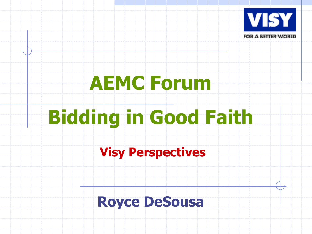

## **AEMC Forum**

# **Bidding in Good Faith**

**Visy Perspectives**

#### **Royce DeSousa**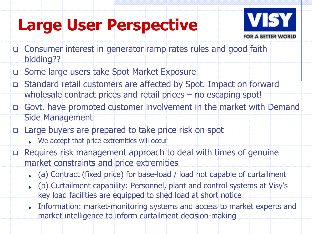#### **Large User Perspective**



- Consumer interest in generator ramp rates rules and good faith bidding??
- Some large users take Spot Market Exposure
- Standard retail customers are affected by Spot. Impact on forward wholesale contract prices and retail prices – no escaping spot!
- Govt. have promoted customer involvement in the market with Demand Side Management
- Large buyers are prepared to take price risk on spot
	- $\blacktriangleright$  We accept that price extremities will occur
- Requires risk management approach to deal with times of genuine market constraints and price extremities
	- (a) Contract (fixed price) for base-load / load not capable of curtailment
	- (b) Curtailment capability: Personnel, plant and control systems at Visy's key load facilities are equipped to shed load at short notice
	- Information: market-monitoring systems and access to market experts and market intelligence to inform curtailment decision-making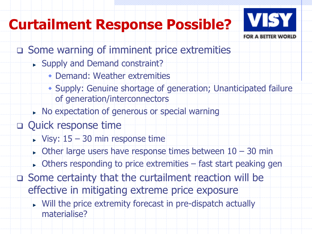#### **Curtailment Response Possible?**



- Some warning of imminent price extremities
	- Supply and Demand constraint?
		- Demand: Weather extremities
		- Supply: Genuine shortage of generation; Unanticipated failure of generation/interconnectors
	- No expectation of generous or special warning
- **Quick response time** 
	- $\blacktriangleright$  Visy:  $15 30$  min response time
	- $\triangleright$  Other large users have response times between  $10 30$  min
	- Others responding to price extremities fast start peaking gen
- Some certainty that the curtailment reaction will be effective in mitigating extreme price exposure
	- **Nill the price extremity forecast in pre-dispatch actually** materialise?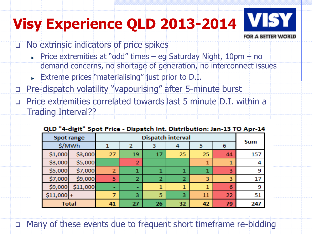### **Visy Experience QLD 2013-2014**



- No extrinsic indicators of price spikes
	- Price extremities at "odd" times eg Saturday Night,  $10 \text{pm}$  no demand concerns, no shortage of generation, no interconnect issues
	- **Extreme prices "materialising" just prior to D.I.**
- Pre-dispatch volatility "vapourising" after 5-minute burst
- Price extremities correlated towards last 5 minute D.I. within a Trading Interval??

|                   | . .      |                          |                |                |    |    |    |            |
|-------------------|----------|--------------------------|----------------|----------------|----|----|----|------------|
| <b>Spot range</b> |          | <b>Dispatch interval</b> |                |                |    |    |    |            |
| \$/MWh            |          |                          | 2              | з              |    | 5  | 6  | <b>Sum</b> |
| \$1,000           | \$3,000  | 27                       | 19             | 17             | 25 | 25 | 44 | 157        |
| \$3,000           | \$5,000  |                          | $\overline{2}$ | -              | -  | 1  |    | 4          |
| \$5,000           | \$7,000  | 2                        | 1              |                |    | 1  | 3  | 9          |
| \$7,000           | \$9,000  | 5                        | $\overline{2}$ | $\overline{2}$ | 2  | 3  | 3  | 17         |
| \$9,000           | \$11,000 |                          | -              | 1              | 1  | 1  | 6  | 9          |
| $$11,000$ +       |          |                          | 3              | 5              | 3  | 11 | 22 | 51         |
| <b>Total</b>      |          | 41                       | 27             | 26             | 32 | 42 | 79 | 247        |

#### OLD "4-digit" Spot Price - Dispatch Int, Distribution: Jan-13 TO Apr-14

Many of these events due to frequent short timeframe re-bidding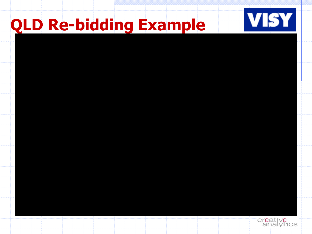